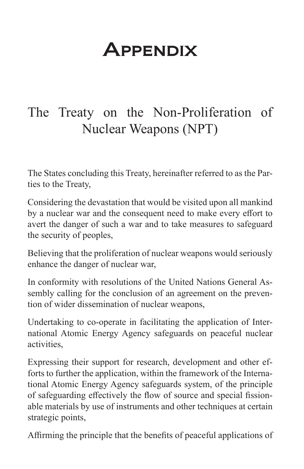# **APPENDIX**

## The Treaty on the Non-Proliferation of Nuclear Weapons (NPT)

The States concluding this Treaty, hereinafter referred to as the Parties to the Treaty,

Considering the devastation that would be visited upon all mankind by a nuclear war and the consequent need to make every effort to avert the danger of such a war and to take measures to safeguard the security of peoples,

Believing that the proliferation of nuclear weapons would seriously enhance the danger of nuclear war,

In conformity with resolutions of the United Nations General Assembly calling for the conclusion of an agreement on the prevention of wider dissemination of nuclear weapons,

Undertaking to co-operate in facilitating the application of International Atomic Energy Agency safeguards on peaceful nuclear activities,

Expressing their support for research, development and other efforts to further the application, within the framework of the International Atomic Energy Agency safeguards system, of the principle of safeguarding effectively the flow of source and special fissionable materials by use of instruments and other techniques at certain strategic points,

Affirming the principle that the benefits of peaceful applications of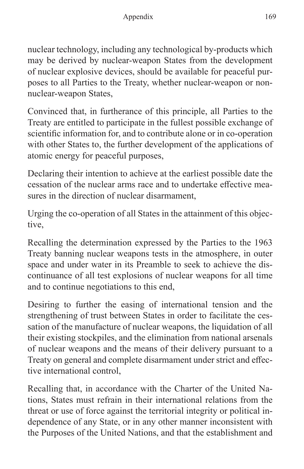nuclear technology, including any technological by-products which may be derived by nuclear-weapon States from the development of nuclear explosive devices, should be available for peaceful purposes to all Parties to the Treaty, whether nuclear-weapon or nonnuclear-weapon States,

Convinced that, in furtherance of this principle, all Parties to the Treaty are entitled to participate in the fullest possible exchange of scientific information for, and to contribute alone or in co-operation with other States to, the further development of the applications of atomic energy for peaceful purposes,

Declaring their intention to achieve at the earliest possible date the cessation of the nuclear arms race and to undertake effective measures in the direction of nuclear disarmament,

Urging the co-operation of all States in the attainment of this objective,

Recalling the determination expressed by the Parties to the 1963 Treaty banning nuclear weapons tests in the atmosphere, in outer space and under water in its Preamble to seek to achieve the discontinuance of all test explosions of nuclear weapons for all time and to continue negotiations to this end,

Desiring to further the easing of international tension and the strengthening of trust between States in order to facilitate the cessation of the manufacture of nuclear weapons, the liquidation of all their existing stockpiles, and the elimination from national arsenals of nuclear weapons and the means of their delivery pursuant to a Treaty on general and complete disarmament under strict and effective international control,

Recalling that, in accordance with the Charter of the United Nations, States must refrain in their international relations from the threat or use of force against the territorial integrity or political independence of any State, or in any other manner inconsistent with the Purposes of the United Nations, and that the establishment and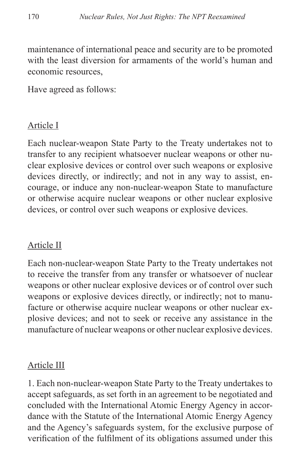maintenance of international peace and security are to be promoted with the least diversion for armaments of the world's human and economic resources,

Have agreed as follows:

#### Article I

Each nuclear-weapon State Party to the Treaty undertakes not to transfer to any recipient whatsoever nuclear weapons or other nuclear explosive devices or control over such weapons or explosive devices directly, or indirectly; and not in any way to assist, encourage, or induce any non-nuclear-weapon State to manufacture or otherwise acquire nuclear weapons or other nuclear explosive devices, or control over such weapons or explosive devices.

#### Article II

Each non-nuclear-weapon State Party to the Treaty undertakes not to receive the transfer from any transfer or whatsoever of nuclear weapons or other nuclear explosive devices or of control over such weapons or explosive devices directly, or indirectly; not to manufacture or otherwise acquire nuclear weapons or other nuclear explosive devices; and not to seek or receive any assistance in the manufacture of nuclear weapons or other nuclear explosive devices.

#### Article III

1. Each non-nuclear-weapon State Party to the Treaty undertakes to accept safeguards, as set forth in an agreement to be negotiated and concluded with the International Atomic Energy Agency in accordance with the Statute of the International Atomic Energy Agency and the Agency's safeguards system, for the exclusive purpose of verification of the fulfilment of its obligations assumed under this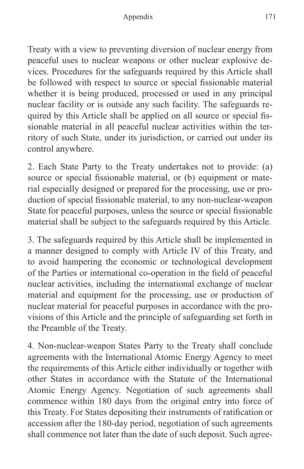Treaty with a view to preventing diversion of nuclear energy from peaceful uses to nuclear weapons or other nuclear explosive devices. Procedures for the safeguards required by this Article shall be followed with respect to source or special fissionable material whether it is being produced, processed or used in any principal nuclear facility or is outside any such facility. The safeguards required by this Article shall be applied on all source or special fissionable material in all peaceful nuclear activities within the territory of such State, under its jurisdiction, or carried out under its control anywhere.

2. Each State Party to the Treaty undertakes not to provide: (a) source or special fissionable material, or (b) equipment or material especially designed or prepared for the processing, use or production of special fissionable material, to any non-nuclear-weapon State for peaceful purposes, unless the source or special fissionable material shall be subject to the safeguards required by this Article.

3. The safeguards required by this Article shall be implemented in a manner designed to comply with Article IV of this Treaty, and to avoid hampering the economic or technological development of the Parties or international co-operation in the field of peaceful nuclear activities, including the international exchange of nuclear material and equipment for the processing, use or production of nuclear material for peaceful purposes in accordance with the provisions of this Article and the principle of safeguarding set forth in the Preamble of the Treaty.

4. Non-nuclear-weapon States Party to the Treaty shall conclude agreements with the International Atomic Energy Agency to meet the requirements of this Article either individually or together with other States in accordance with the Statute of the International Atomic Energy Agency. Negotiation of such agreements shall commence within 180 days from the original entry into force of this Treaty. For States depositing their instruments of ratification or accession after the 180-day period, negotiation of such agreements shall commence not later than the date of such deposit. Such agree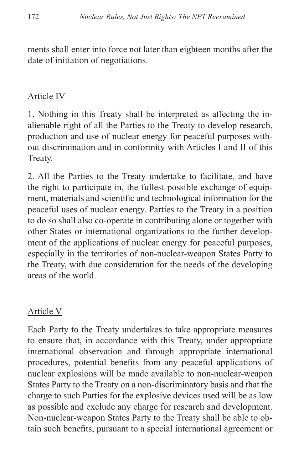ments shall enter into force not later than eighteen months after the date of initiation of negotiations.

#### Article IV

1. Nothing in this Treaty shall be interpreted as affecting the inalienable right of all the Parties to the Treaty to develop research, production and use of nuclear energy for peaceful purposes without discrimination and in conformity with Articles I and II of this Treaty.

2. All the Parties to the Treaty undertake to facilitate, and have the right to participate in, the fullest possible exchange of equipment, materials and scientific and technological information for the peaceful uses of nuclear energy. Parties to the Treaty in a position to do so shall also co-operate in contributing alone or together with other States or international organizations to the further development of the applications of nuclear energy for peaceful purposes, especially in the territories of non-nuclear-weapon States Party to the Treaty, with due consideration for the needs of the developing areas of the world.

#### Article V

Each Party to the Treaty undertakes to take appropriate measures to ensure that, in accordance with this Treaty, under appropriate international observation and through appropriate international procedures, potential benefits from any peaceful applications of nuclear explosions will be made available to non-nuclear-weapon States Party to the Treaty on a non-discriminatory basis and that the charge to such Parties for the explosive devices used will be as low as possible and exclude any charge for research and development. Non-nuclear-weapon States Party to the Treaty shall be able to obtain such benefits, pursuant to a special international agreement or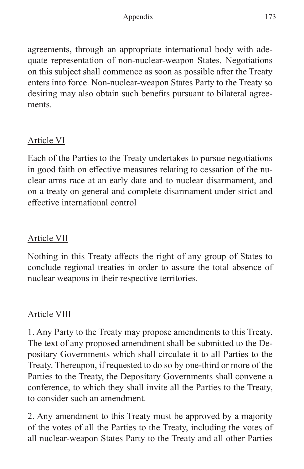agreements, through an appropriate international body with adequate representation of non-nuclear-weapon States. Negotiations on this subject shall commence as soon as possible after the Treaty enters into force. Non-nuclear-weapon States Party to the Treaty so desiring may also obtain such benefits pursuant to bilateral agreements.

#### Article VI

Each of the Parties to the Treaty undertakes to pursue negotiations in good faith on effective measures relating to cessation of the nuclear arms race at an early date and to nuclear disarmament, and on a treaty on general and complete disarmament under strict and effective international control

#### Article VII

Nothing in this Treaty affects the right of any group of States to conclude regional treaties in order to assure the total absence of nuclear weapons in their respective territories.

#### Article VIII

1. Any Party to the Treaty may propose amendments to this Treaty. The text of any proposed amendment shall be submitted to the Depositary Governments which shall circulate it to all Parties to the Treaty. Thereupon, if requested to do so by one-third or more of the Parties to the Treaty, the Depositary Governments shall convene a conference, to which they shall invite all the Parties to the Treaty, to consider such an amendment.

2. Any amendment to this Treaty must be approved by a majority of the votes of all the Parties to the Treaty, including the votes of all nuclear-weapon States Party to the Treaty and all other Parties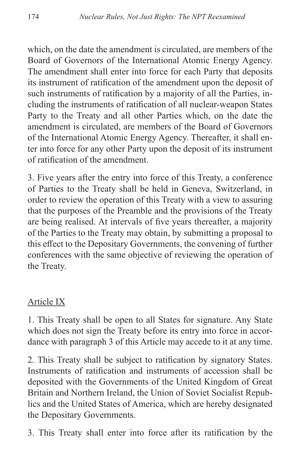which, on the date the amendment is circulated, are members of the Board of Governors of the International Atomic Energy Agency. The amendment shall enter into force for each Party that deposits its instrument of ratification of the amendment upon the deposit of such instruments of ratification by a majority of all the Parties, including the instruments of ratification of all nuclear-weapon States Party to the Treaty and all other Parties which, on the date the amendment is circulated, are members of the Board of Governors of the International Atomic Energy Agency. Thereafter, it shall enter into force for any other Party upon the deposit of its instrument of ratification of the amendment.

3. Five years after the entry into force of this Treaty, a conference of Parties to the Treaty shall be held in Geneva, Switzerland, in order to review the operation of this Treaty with a view to assuring that the purposes of the Preamble and the provisions of the Treaty are being realised. At intervals of five years thereafter, a majority of the Parties to the Treaty may obtain, by submitting a proposal to this effect to the Depositary Governments, the convening of further conferences with the same objective of reviewing the operation of the Treaty.

#### Article IX

1. This Treaty shall be open to all States for signature. Any State which does not sign the Treaty before its entry into force in accordance with paragraph 3 of this Article may accede to it at any time.

2. This Treaty shall be subject to ratification by signatory States. Instruments of ratification and instruments of accession shall be deposited with the Governments of the United Kingdom of Great Britain and Northern Ireland, the Union of Soviet Socialist Republics and the United States of America, which are hereby designated the Depositary Governments.

3. This Treaty shall enter into force after its ratification by the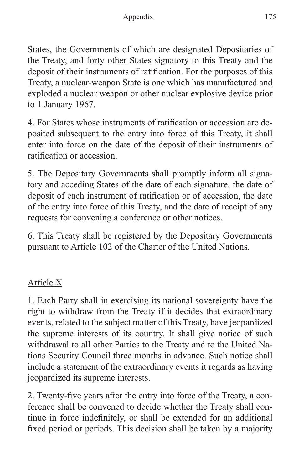States, the Governments of which are designated Depositaries of the Treaty, and forty other States signatory to this Treaty and the deposit of their instruments of ratification. For the purposes of this Treaty, a nuclear-weapon State is one which has manufactured and exploded a nuclear weapon or other nuclear explosive device prior to 1 January 1967.

4. For States whose instruments of ratification or accession are deposited subsequent to the entry into force of this Treaty, it shall enter into force on the date of the deposit of their instruments of ratification or accession.

5. The Depositary Governments shall promptly inform all signatory and acceding States of the date of each signature, the date of deposit of each instrument of ratification or of accession, the date of the entry into force of this Treaty, and the date of receipt of any requests for convening a conference or other notices.

6. This Treaty shall be registered by the Depositary Governments pursuant to Article 102 of the Charter of the United Nations.

### Article X

1. Each Party shall in exercising its national sovereignty have the right to withdraw from the Treaty if it decides that extraordinary events, related to the subject matter of this Treaty, have jeopardized the supreme interests of its country. It shall give notice of such withdrawal to all other Parties to the Treaty and to the United Nations Security Council three months in advance. Such notice shall include a statement of the extraordinary events it regards as having jeopardized its supreme interests.

2. Twenty-five years after the entry into force of the Treaty, a conference shall be convened to decide whether the Treaty shall continue in force indefinitely, or shall be extended for an additional fixed period or periods. This decision shall be taken by a majority